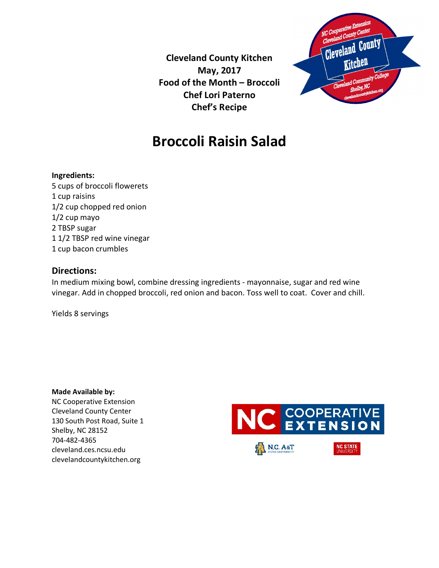**Cleveland County Kitchen May, 2017 Food of the Month – Broccoli Chef Lori Paterno Chef's Recipe**



## **Broccoli Raisin Salad**

### **Ingredients:**

5 cups of broccoli flowerets 1 cup raisins 1/2 cup chopped red onion 1/2 cup mayo 2 TBSP sugar 1 1/2 TBSP red wine vinegar 1 cup bacon crumbles

### **Directions:**

In medium mixing bowl, combine dressing ingredients - mayonnaise, sugar and red wine vinegar. Add in chopped broccoli, red onion and bacon. Toss well to coat. Cover and chill.

Yields 8 servings

**Made Available by:**  NC Cooperative Extension Cleveland County Center 130 South Post Road, Suite 1 Shelby, NC 28152 704-482-4365 cleveland.ces.ncsu.edu clevelandcountykitchen.org